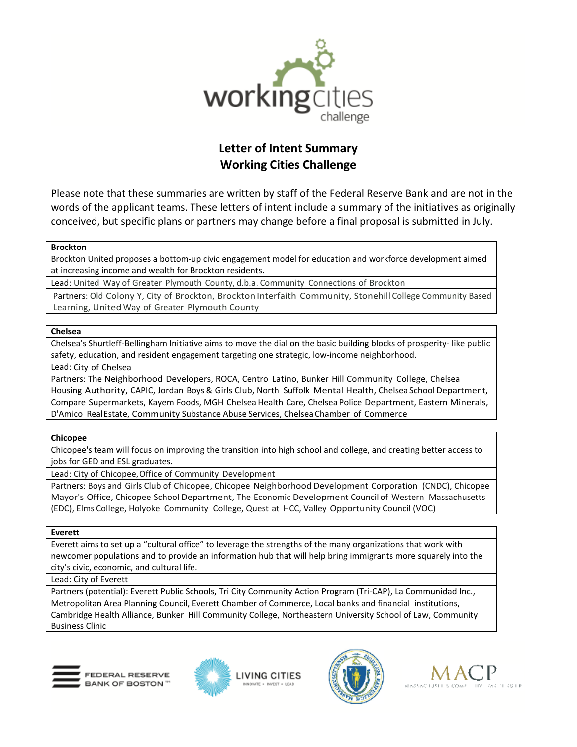

# **Letter of Intent Summary Working Cities Challenge**

Please note that these summaries are written by staff of the Federal Reserve Bank and are not in the words of the applicant teams. These letters of intent include a summary of the initiatives as originally conceived, but specific plans or partners may change before a final proposal is submitted in July.

# **Brockton**

Brockton United proposes a bottom-up civic engagement model for education and workforce development aimed at increasing income and wealth for Brockton residents.

Lead: United Way of Greater Plymouth County, d.b.a. Community Connections of Brockton

Partners: Old Colony Y, City of Brockton, Brockton Interfaith Community, Stonehill College Community Based Learning, United Way of Greater Plymouth County

# **Chelsea**

Chelsea's Shurtleff-Bellingham Initiative aims to move the dial on the basic building blocks of prosperity- like public safety, education, and resident engagement targeting one strategic, low-income neighborhood.

Lead: City of Chelsea

Partners: The Neighborhood Developers, ROCA, Centro Latino, Bunker Hill Community College, Chelsea Housing Authority, CAPIC, Jordan Boys & Girls Club, North Suffolk Mental Health, Chelsea SchoolDepartment, Compare Supermarkets, Kayem Foods, MGH Chelsea Health Care, Chelsea Police Department, Eastern Minerals, D'Amico RealEstate, Community Substance Abuse Services, Chelsea Chamber of Commerce

# **Chicopee**

Chicopee's team will focus on improving the transition into high school and college, and creating better access to jobs for GED and ESL graduates.

Lead: City of Chicopee,Office of Community Development

Partners: Boys and Girls Club of Chicopee, Chicopee Neighborhood Development Corporation (CNDC), Chicopee Mayor's Office, Chicopee School Department, The Economic Development Council of Western Massachusetts (EDC), Elms College, Holyoke Community College, Quest at HCC, Valley Opportunity Council (VOC)

# **Everett**

Everett aims to set up a "cultural office" to leverage the strengths of the many organizations that work with newcomer populations and to provide an information hub that will help bring immigrants more squarely into the city's civic, economic, and cultural life.

# Lead: City of Everett

Partners (potential): Everett Public Schools, Tri City Community Action Program (Tri-CAP), La Communidad Inc., Metropolitan Area Planning Council, Everett Chamber of Commerce, Local banks and financial institutions, Cambridge Health Alliance, Bunker Hill Community College, Northeastern University School of Law, Community Business Clinic







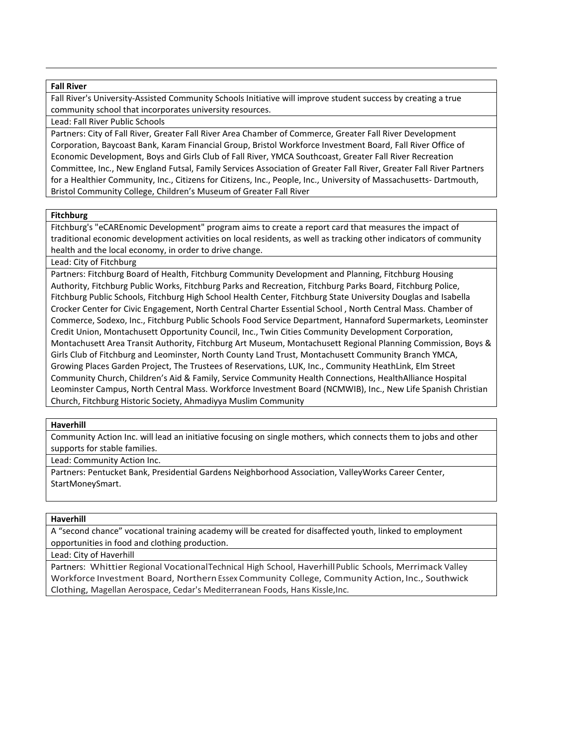## **Fall River**

Fall River's University-Assisted Community Schools Initiative will improve student success by creating a true community school that incorporates university resources.

## Lead: Fall River Public Schools

Partners: City of Fall River, Greater Fall River Area Chamber of Commerce, Greater Fall River Development Corporation, Baycoast Bank, Karam Financial Group, Bristol Workforce Investment Board, Fall River Office of Economic Development, Boys and Girls Club of Fall River, YMCA Southcoast, Greater Fall River Recreation Committee, Inc., New England Futsal, Family Services Association of Greater Fall River, Greater Fall River Partners for a Healthier Community, Inc., Citizens for Citizens, Inc., People, Inc., University of Massachusetts- Dartmouth, Bristol Community College, Children's Museum of Greater Fall River

## **Fitchburg**

Fitchburg's "eCAREnomic Development" program aims to create a report card that measures the impact of traditional economic development activities on local residents, as well as tracking other indicators of community health and the local economy, in order to drive change.

# Lead: City of Fitchburg

Partners: Fitchburg Board of Health, Fitchburg Community Development and Planning, Fitchburg Housing Authority, Fitchburg Public Works, Fitchburg Parks and Recreation, Fitchburg Parks Board, Fitchburg Police, Fitchburg Public Schools, Fitchburg High School Health Center, Fitchburg State University Douglas and Isabella Crocker Center for Civic Engagement, North Central Charter Essential School , North Central Mass. Chamber of Commerce, Sodexo, Inc., Fitchburg Public Schools Food Service Department, Hannaford Supermarkets, Leominster Credit Union, Montachusett Opportunity Council, Inc., Twin Cities Community Development Corporation, Montachusett Area Transit Authority, Fitchburg Art Museum, Montachusett Regional Planning Commission, Boys & Girls Club of Fitchburg and Leominster, North County Land Trust, Montachusett Community Branch YMCA, Growing Places Garden Project, The Trustees of Reservations, LUK, Inc., Community HeathLink, Elm Street Community Church, Children's Aid & Family, Service Community Health Connections, HealthAlliance Hospital Leominster Campus, North Central Mass. Workforce Investment Board (NCMWIB), Inc., New Life Spanish Christian Church, Fitchburg Historic Society, Ahmadiyya Muslim Community

## **Haverhill**

Community Action Inc. will lead an initiative focusing on single mothers, which connects them to jobs and other supports for stable families.

Lead: Community Action Inc.

Partners: Pentucket Bank, Presidential Gardens Neighborhood Association, ValleyWorks Career Center, StartMoneySmart.

## **Haverhill**

A "second chance" vocational training academy will be created for disaffected youth, linked to employment opportunities in food and clothing production.

Lead: City of Haverhill

Partners: Whittier Regional VocationalTechnical High School, HaverhillPublic Schools, Merrimack Valley Workforce Investment Board, Northern Essex Community College, Community Action, Inc., Southwick Clothing, Magellan Aerospace, Cedar's Mediterranean Foods, Hans Kissle,Inc.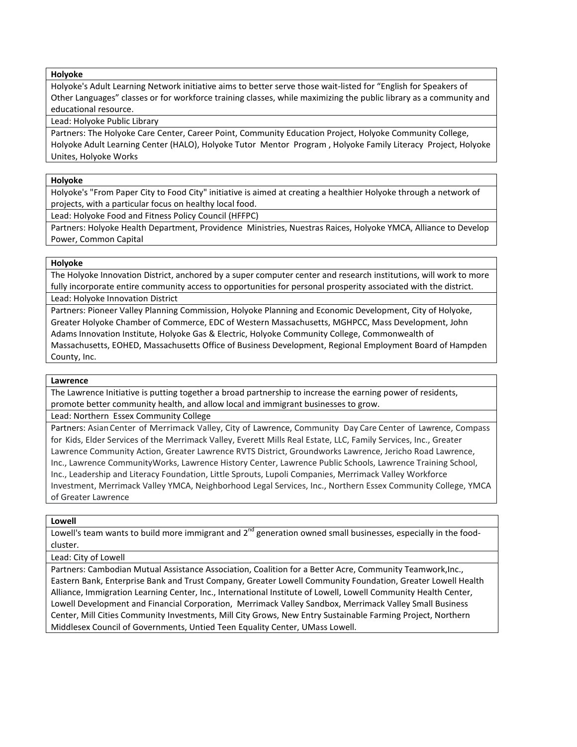#### **Holyoke**

Holyoke's Adult Learning Network initiative aims to better serve those wait-listed for "English for Speakers of Other Languages" classes or for workforce training classes, while maximizing the public library as a community and educational resource.

Lead: Holyoke Public Library

Partners: The Holyoke Care Center, Career Point, Community Education Project, Holyoke Community College, Holyoke Adult Learning Center (HALO), Holyoke Tutor Mentor Program , Holyoke Family Literacy Project, Holyoke Unites, Holyoke Works

## **Holyoke**

Holyoke's "From Paper City to Food City" initiative is aimed at creating a healthier Holyoke through a network of projects, with a particular focus on healthy local food.

Lead: Holyoke Food and Fitness Policy Council (HFFPC)

Partners: Holyoke Health Department, Providence Ministries, Nuestras Raices, Holyoke YMCA, Alliance to Develop Power, Common Capital

## **Holyoke**

The Holyoke Innovation District, anchored by a super computer center and research institutions, will work to more fully incorporate entire community access to opportunities for personal prosperity associated with the district.

Lead: Holyoke Innovation District

Partners: Pioneer Valley Planning Commission, Holyoke Planning and Economic Development, City of Holyoke, Greater Holyoke Chamber of Commerce, EDC of Western Massachusetts, MGHPCC, Mass Development, John Adams Innovation Institute, Holyoke Gas & Electric, Holyoke Community College, Commonwealth of Massachusetts, EOHED, Massachusetts Office of Business Development, Regional Employment Board of Hampden County, Inc.

## **Lawrence**

The Lawrence Initiative is putting together a broad partnership to increase the earning power of residents, promote better community health, and allow local and immigrant businesses to grow.

Lead: Northern Essex Community College

Partners: Asian Center of Merrimack Valley, City of Lawrence, Community Day Care Center of Lawrence, Compass for Kids, Elder Services of the Merrimack Valley, Everett Mills Real Estate, LLC, Family Services, Inc., Greater Lawrence Community Action, Greater Lawrence RVTS District, Groundworks Lawrence, Jericho Road Lawrence, Inc., Lawrence CommunityWorks, Lawrence History Center, Lawrence Public Schools, Lawrence Training School, Inc., Leadership and Literacy Foundation, Little Sprouts, Lupoli Companies, Merrimack Valley Workforce Investment, Merrimack Valley YMCA, Neighborhood Legal Services, Inc., Northern Essex Community College, YMCA of Greater Lawrence

## **Lowell**

Lowell's team wants to build more immigrant and  $2^{nd}$  generation owned small businesses, especially in the foodcluster.

Lead: City of Lowell

Partners: Cambodian Mutual Assistance Association, Coalition for a Better Acre, Community Teamwork,Inc., Eastern Bank, Enterprise Bank and Trust Company, Greater Lowell Community Foundation, Greater Lowell Health Alliance, Immigration Learning Center, Inc., International Institute of Lowell, Lowell Community Health Center, Lowell Development and Financial Corporation, Merrimack Valley Sandbox, Merrimack Valley Small Business Center, Mill Cities Community Investments, Mill City Grows, New Entry Sustainable Farming Project, Northern Middlesex Council of Governments, Untied Teen Equality Center, UMass Lowell.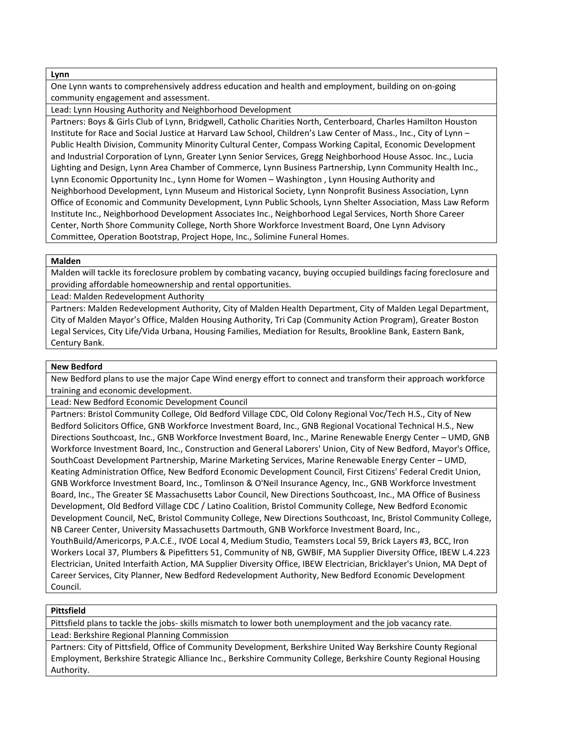#### **Lynn**

One Lynn wants to comprehensively address education and health and employment, building on on-going community engagement and assessment.

Lead: Lynn Housing Authority and Neighborhood Development

Partners: Boys & Girls Club of Lynn, Bridgwell, Catholic Charities North, Centerboard, Charles Hamilton Houston Institute for Race and Social Justice at Harvard Law School, Children's Law Center of Mass., Inc., City of Lynn – Public Health Division, Community Minority Cultural Center, Compass Working Capital, Economic Development and Industrial Corporation of Lynn, Greater Lynn Senior Services, Gregg Neighborhood House Assoc. Inc., Lucia Lighting and Design, Lynn Area Chamber of Commerce, Lynn Business Partnership, Lynn Community Health Inc., Lynn Economic Opportunity Inc., Lynn Home for Women – Washington , Lynn Housing Authority and Neighborhood Development, Lynn Museum and Historical Society, Lynn Nonprofit Business Association, Lynn Office of Economic and Community Development, Lynn Public Schools, Lynn Shelter Association, Mass Law Reform Institute Inc., Neighborhood Development Associates Inc., Neighborhood Legal Services, North Shore Career Center, North Shore Community College, North Shore Workforce Investment Board, One Lynn Advisory Committee, Operation Bootstrap, Project Hope, Inc., Solimine Funeral Homes.

#### **Malden**

Malden will tackle its foreclosure problem by combating vacancy, buying occupied buildings facing foreclosure and providing affordable homeownership and rental opportunities.

Lead: Malden Redevelopment Authority

Partners: Malden Redevelopment Authority, City of Malden Health Department, City of Malden Legal Department, City of Malden Mayor's Office, Malden Housing Authority, Tri Cap (Community Action Program), Greater Boston Legal Services, City Life/Vida Urbana, Housing Families, Mediation for Results, Brookline Bank, Eastern Bank, Century Bank.

#### **New Bedford**

New Bedford plans to use the major Cape Wind energy effort to connect and transform their approach workforce training and economic development.

Lead: New Bedford Economic Development Council

Partners: Bristol Community College, Old Bedford Village CDC, Old Colony Regional Voc/Tech H.S., City of New Bedford Solicitors Office, GNB Workforce Investment Board, Inc., GNB Regional Vocational Technical H.S., New Directions Southcoast, Inc., GNB Workforce Investment Board, Inc., Marine Renewable Energy Center – UMD, GNB Workforce Investment Board, Inc., Construction and General Laborers' Union, City of New Bedford, Mayor's Office, SouthCoast Development Partnership, Marine Marketing Services, Marine Renewable Energy Center – UMD, Keating Administration Office, New Bedford Economic Development Council, First Citizens' Federal Credit Union, GNB Workforce Investment Board, Inc., Tomlinson & O'Neil Insurance Agency, Inc., GNB Workforce Investment Board, Inc., The Greater SE Massachusetts Labor Council, New Directions Southcoast, Inc., MA Office of Business Development, Old Bedford Village CDC / Latino Coalition, Bristol Community College, New Bedford Economic Development Council, NeC, Bristol Community College, New Directions Southcoast, Inc, Bristol Community College, NB Career Center, University Massachusetts Dartmouth, GNB Workforce Investment Board, Inc., YouthBuild/Americorps, P.A.C.E., IVOE Local 4, Medium Studio, Teamsters Local 59, Brick Layers #3, BCC, Iron Workers Local 37, Plumbers & Pipefitters 51, Community of NB, GWBIF, MA Supplier Diversity Office, IBEW L.4.223 Electrician, United Interfaith Action, MA Supplier Diversity Office, IBEW Electrician, Bricklayer's Union, MA Dept of Career Services, City Planner, New Bedford Redevelopment Authority, New Bedford Economic Development Council.

#### **Pittsfield**

Pittsfield plans to tackle the jobs- skills mismatch to lower both unemployment and the job vacancy rate. Lead: Berkshire Regional Planning Commission

Partners: City of Pittsfield, Office of Community Development, Berkshire United Way Berkshire County Regional Employment, Berkshire Strategic Alliance Inc., Berkshire Community College, Berkshire County Regional Housing Authority.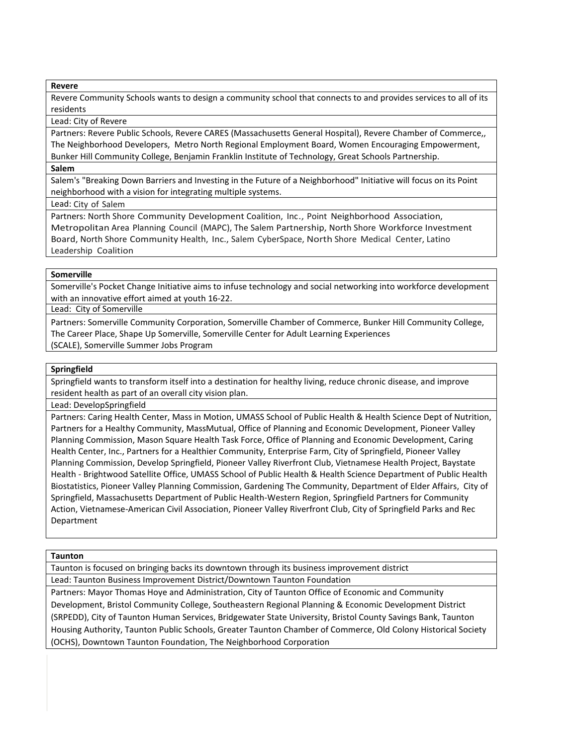**Revere**

Revere Community Schools wants to design a community school that connects to and provides services to all of its residents

#### Lead: City of Revere

Partners: Revere Public Schools, Revere CARES (Massachusetts General Hospital), Revere Chamber of Commerce,, The Neighborhood Developers, Metro North Regional Employment Board, Women Encouraging Empowerment, Bunker Hill Community College, Benjamin Franklin Institute of Technology, Great Schools Partnership.

## **Salem**

Salem's "Breaking Down Barriers and Investing in the Future of a Neighborhood" Initiative will focus on its Point neighborhood with a vision for integrating multiple systems.

## Lead: City of Salem

Partners: North Shore Community Development Coalition, Inc., Point Neighborhood Association, Metropolitan Area Planning Council (MAPC), The Salem Partnership, North Shore Workforce Investment Board, North Shore Community Health, Inc., Salem CyberSpace, North Shore Medical Center, Latino Leadership Coalition

# **Somerville**

Somerville's Pocket Change Initiative aims to infuse technology and social networking into workforce development with an innovative effort aimed at youth 16-22.

Lead: City of Somerville

Partners: Somerville Community Corporation, Somerville Chamber of Commerce, Bunker Hill Community College, The Career Place, Shape Up Somerville, Somerville Center for Adult Learning Experiences

(SCALE), Somerville Summer Jobs Program

# **Springfield**

Springfield wants to transform itself into a destination for healthy living, reduce chronic disease, and improve resident health as part of an overall city vision plan.

Lead: DevelopSpringfield

Partners: Caring Health Center, Mass in Motion, UMASS School of Public Health & Health Science Dept of Nutrition, Partners for a Healthy Community, MassMutual, Office of Planning and Economic Development, Pioneer Valley Planning Commission, Mason Square Health Task Force, Office of Planning and Economic Development, Caring Health Center, Inc., Partners for a Healthier Community, Enterprise Farm, City of Springfield, Pioneer Valley Planning Commission, Develop Springfield, Pioneer Valley Riverfront Club, Vietnamese Health Project, Baystate Health - Brightwood Satellite Office, UMASS School of Public Health & Health Science Department of Public Health Biostatistics, Pioneer Valley Planning Commission, Gardening The Community, Department of Elder Affairs, City of Springfield, Massachusetts Department of Public Health-Western Region, Springfield Partners for Community Action, Vietnamese-American Civil Association, Pioneer Valley Riverfront Club, City of Springfield Parks and Rec Department

## **Taunton**

Taunton is focused on bringing backs its downtown through its business improvement district Lead: Taunton Business Improvement District/Downtown Taunton Foundation

Partners: Mayor Thomas Hoye and Administration, City of Taunton Office of Economic and Community Development, Bristol Community College, Southeastern Regional Planning & Economic Development District (SRPEDD), City of Taunton Human Services, Bridgewater State University, Bristol County Savings Bank, Taunton Housing Authority, Taunton Public Schools, Greater Taunton Chamber of Commerce, Old Colony Historical Society (OCHS), Downtown Taunton Foundation, The Neighborhood Corporation